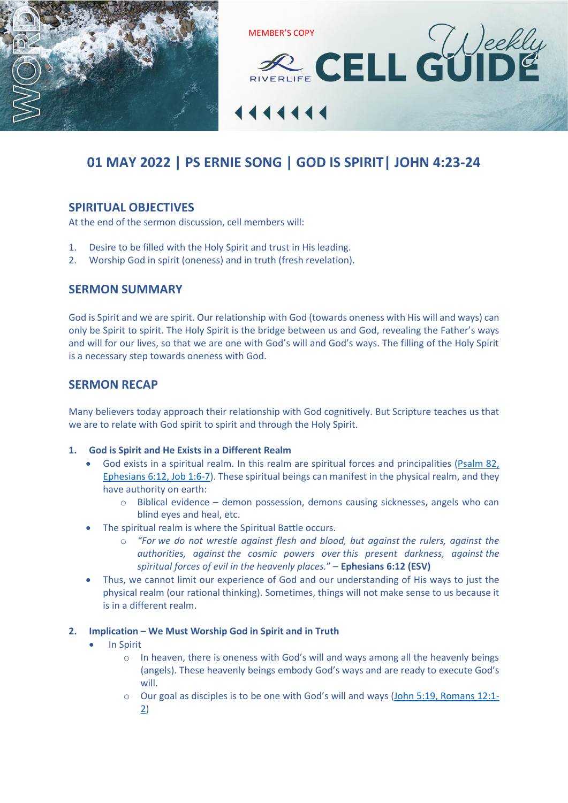



# **01 MAY 2022 | PS ERNIE SONG | GOD IS SPIRIT| [JOHN 4:23-24](https://www.biblegateway.com/passage/?search=JOHN+4%3A23-24&version=ESV)**

## **SPIRITUAL OBJECTIVES**

At the end of the sermon discussion, cell members will:

- 1. Desire to be filled with the Holy Spirit and trust in His leading.
- 2. Worship God in spirit (oneness) and in truth (fresh revelation).

## **SERMON SUMMARY**

God is Spirit and we are spirit. Our relationship with God (towards oneness with His will and ways) can only be Spirit to spirit. The Holy Spirit is the bridge between us and God, revealing the Father's ways and will for our lives, so that we are one with God's will and God's ways. The filling of the Holy Spirit is a necessary step towards oneness with God.

## **SERMON RECAP**

Many believers today approach their relationship with God cognitively. But Scripture teaches us that we are to relate with God spirit to spirit and through the Holy Spirit.

## **1. God is Spirit and He Exists in a Different Realm**

- God exists in a spiritual realm. In this realm are spiritual forces and principalities [\(Psalm 82,](https://www.biblegateway.com/passage/?search=Psalm+82%2C+Ephesians+6%3A12%2C+Job+1%3A6-7&version=ESV)  [Ephesians 6:12, Job 1:6-7\)](https://www.biblegateway.com/passage/?search=Psalm+82%2C+Ephesians+6%3A12%2C+Job+1%3A6-7&version=ESV). These spiritual beings can manifest in the physical realm, and they have authority on earth:
	- o Biblical evidence demon possession, demons causing sicknesses, angels who can blind eyes and heal, etc.
- The spiritual realm is where the Spiritual Battle occurs.
	- o *"For we do not wrestle against flesh and blood, but against the rulers, against the authorities, against the cosmic powers over this present darkness, against the spiritual forces of evil in the heavenly places.*" – **Ephesians 6:12 (ESV)**
- Thus, we cannot limit our experience of God and our understanding of His ways to just the physical realm (our rational thinking). Sometimes, things will not make sense to us because it is in a different realm.

## **2. Implication – We Must Worship God in Spirit and in Truth**

- In Spirit
	- o In heaven, there is oneness with God's will and ways among all the heavenly beings (angels). These heavenly beings embody God's ways and are ready to execute God's will.
	- $\circ$  Our goal as disciples is to be one with God's will and ways [\(John 5:19, Romans 12:1-](https://www.biblegateway.com/passage/?search=John+5%3A19%2C+Romans+12%3A1-2&version=ESV) [2\)](https://www.biblegateway.com/passage/?search=John+5%3A19%2C+Romans+12%3A1-2&version=ESV)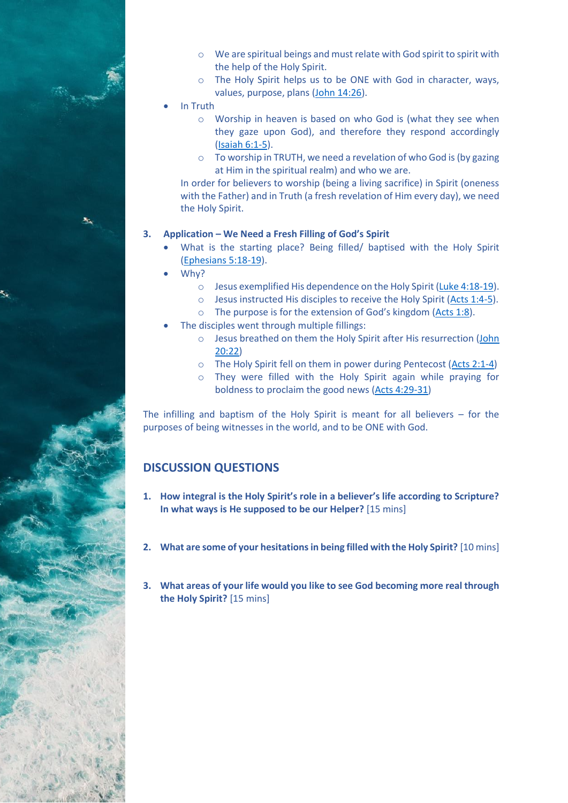

- o The Holy Spirit helps us to be ONE with God in character, ways, values, purpose, plans [\(John 14:26\)](https://www.biblegateway.com/passage/?search=John+14%3A26&version=ESV).
- In Truth
	- o Worship in heaven is based on who God is (what they see when they gaze upon God), and therefore they respond accordingly [\(Isaiah 6:1-5\)](https://www.biblegateway.com/passage/?search=Isaiah+6%3A1-5&version=ESV).
	- o To worship in TRUTH, we need a revelation of who God is (by gazing at Him in the spiritual realm) and who we are.

In order for believers to worship (being a living sacrifice) in Spirit (oneness with the Father) and in Truth (a fresh revelation of Him every day), we need the Holy Spirit.

## **3. Application – We Need a Fresh Filling of God's Spirit**

- What is the starting place? Being filled/ baptised with the Holy Spirit [\(Ephesians 5:18-19\)](https://www.biblegateway.com/passage/?search=Ephesians+5%3A18-19&version=ESV).
- Why?
	- o Jesus exemplified His dependence on the Holy Spirit [\(Luke 4:18-19\)](https://www.biblegateway.com/passage/?search=Luke+4%3A18-19&version=ESV).
	- o Jesus instructed His disciples to receive the Holy Spirit [\(Acts 1:4-5\)](https://www.biblegateway.com/passage/?search=Acts+1%3A4-5&version=ESV).
	- o The purpose is for the extension of God's kingdom [\(Acts 1:8\)](https://www.biblegateway.com/passage/?search=Acts+1%3A8&version=ESV).
- The disciples went through multiple fillings:
	- o Jesus breathed on them the Holy Spirit after His resurrection [\(John](https://www.biblegateway.com/passage/?search=John+20%3A22&version=ESV)  [20:22\)](https://www.biblegateway.com/passage/?search=John+20%3A22&version=ESV)
	- o The Holy Spirit fell on them in power during Pentecost [\(Acts 2:1-4\)](https://www.biblegateway.com/passage/?search=Acts+2%3A1-4&version=ESV)
	- o They were filled with the Holy Spirit again while praying for boldness to proclaim the good news [\(Acts 4:29-31\)](https://www.biblegateway.com/passage/?search=Acts+4%3A29-31&version=ESV)

The infilling and baptism of the Holy Spirit is meant for all believers – for the purposes of being witnesses in the world, and to be ONE with God.

## **DISCUSSION QUESTIONS**

- **1. How integral is the Holy Spirit's role in a believer's life according to Scripture? In what ways is He supposed to be our Helper?** [15 mins]
- **2. What are some of your hesitations in being filled with the Holy Spirit?** [10 mins]
- **3. What areas of your life would you like to see God becoming more real through the Holy Spirit?** [15 mins]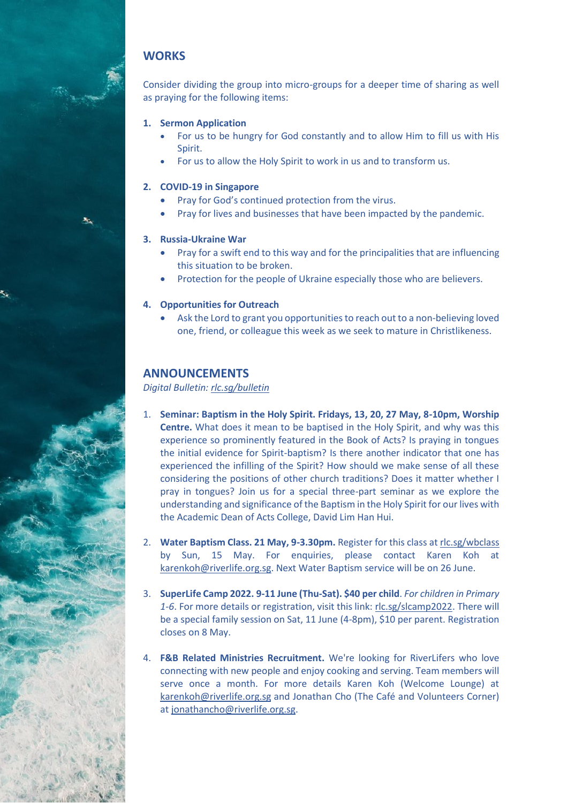## **WORKS**

Consider dividing the group into micro-groups for a deeper time of sharing as well as praying for the following items:

- **1. Sermon Application**
	- For us to be hungry for God constantly and to allow Him to fill us with His Spirit.
	- For us to allow the Holy Spirit to work in us and to transform us.

## **2. COVID-19 in Singapore**

- Pray for God's continued protection from the virus.
- Pray for lives and businesses that have been impacted by the pandemic.

## **3. Russia-Ukraine War**

- Pray for a swift end to this way and for the principalities that are influencing this situation to be broken.
- Protection for the people of Ukraine especially those who are believers.

## **4. Opportunities for Outreach**

• Ask the Lord to grant you opportunities to reach out to a non-believing loved one, friend, or colleague this week as we seek to mature in Christlikeness.

## **ANNOUNCEMENTS**

*Digital Bulletin: [rlc.sg/bulletin](https://rlc.sg/bulletin)*

- 1. **Seminar: Baptism in the Holy Spirit. Fridays, 13, 20, 27 May, 8-10pm, Worship Centre.** What does it mean to be baptised in the Holy Spirit, and why was this experience so prominently featured in the Book of Acts? Is praying in tongues the initial evidence for Spirit-baptism? Is there another indicator that one has experienced the infilling of the Spirit? How should we make sense of all these considering the positions of other church traditions? Does it matter whether I pray in tongues? Join us for a special three-part seminar as we explore the understanding and significance of the Baptism in the Holy Spirit for our lives with the Academic Dean of Acts College, David Lim Han Hui.
- 2. **Water Baptism Class. 21 May, 9-3.30pm.** Register for this class a[t rlc.sg/wbclass](https://rlc.sg/wbclass) by Sun, 15 May. For enquiries, please contact Karen Koh at [karenkoh@riverlife.org.sg.](mailto:karenkoh@riverlife.org.sg) Next Water Baptism service will be on 26 June.
- 3. **SuperLife Camp 2022. 9-11 June (Thu-Sat). \$40 per child**. *For children in Primary 1-6*. For more details or registration, visit this link: [rlc.sg/slcamp2022.](https://rlc.sg/slcamp2022) There will be a special family session on Sat, 11 June (4-8pm), \$10 per parent. Registration closes on 8 May.
- 4. **F&B Related Ministries Recruitment.** We're looking for RiverLifers who love connecting with new people and enjoy cooking and serving. Team members will serve once a month. For more details Karen Koh (Welcome Lounge) at [karenkoh@riverlife.org.sg](mailto:karenkoh@riverlife.org.sg) and Jonathan Cho (The Café and Volunteers Corner) a[t jonathancho@riverlife.org.sg.](mailto:jonathancho@riverlife.org.sg)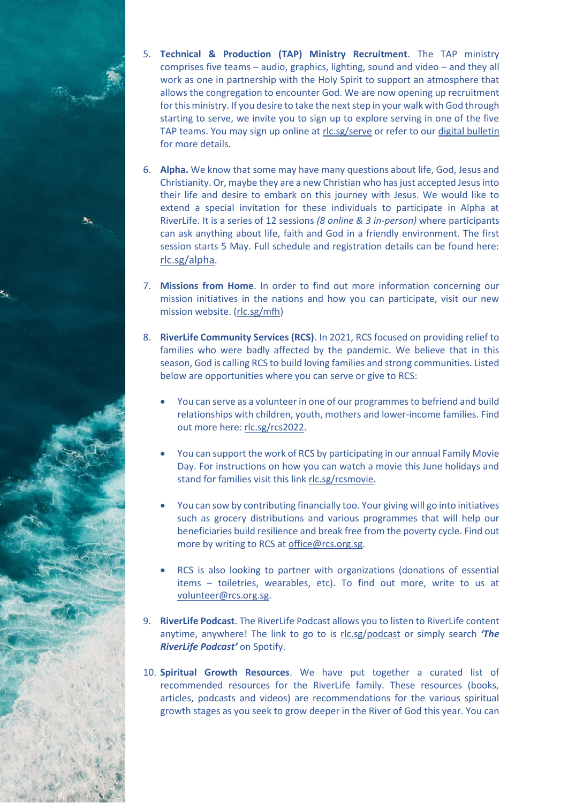- 5. **Technical & Production (TAP) Ministry Recruitment**. The TAP ministry comprises five teams – audio, graphics, lighting, sound and video – and they all work as one in partnership with the Holy Spirit to support an atmosphere that allows the congregation to encounter God. We are now opening up recruitment for this ministry. If you desire to take the next step in your walk with God through starting to serve, we invite you to sign up to explore serving in one of the five TAP teams. You may sign up online at [rlc.sg/serve](https://rlc.sg/serve) or refer to our [digital bulletin](https://rlc.sg/bulletin) for more details.
- 6. **Alpha.** We know that some may have many questions about life, God, Jesus and Christianity. Or, maybe they are a new Christian who has just accepted Jesus into their life and desire to embark on this journey with Jesus. We would like to extend a special invitation for these individuals to participate in Alpha at RiverLife. It is a series of 12 sessions *(8 online & 3 in-person)* where participants can ask anything about life, faith and God in a friendly environment. The first session starts 5 May. Full schedule and registration details can be found here: [rlc.sg/alpha](https://rlc.sg/alpha).
- 7. **Missions from Home**. In order to find out more information concerning our mission initiatives in the nations and how you can participate, visit our new mission website. [\(rlc.sg/mfh\)](https://rlc.sg/mfh)
- 8. **RiverLife Community Services (RCS)**. In 2021, RCS focused on providing relief to families who were badly affected by the pandemic. We believe that in this season, God is calling RCS to build loving families and strong communities. Listed below are opportunities where you can serve or give to RCS:
	- You can serve as a volunteer in one of our programmes to befriend and build relationships with children, youth, mothers and lower-income families. Find out more here: [rlc.sg/rcs2022.](https://rlc.sg/rcs2022)
	- You can support the work of RCS by participating in our annual Family Movie Day. For instructions on how you can watch a movie this June holidays and stand for families visit this lin[k rlc.sg/rcsmovie.](https://rlc.sg/rcsmovie)
	- You can sow by contributing financially too. Your giving will go into initiatives such as grocery distributions and various programmes that will help our beneficiaries build resilience and break free from the poverty cycle. Find out more by writing to RCS at [office@rcs.org.sg.](mailto:office@rcs.org.sg)
	- RCS is also looking to partner with organizations (donations of essential items – toiletries, wearables, etc). To find out more, write to us at [volunteer@rcs.org.sg.](mailto:volunteer@rcs.org.sg)
- 9. **RiverLife Podcast**. The RiverLife Podcast allows you to listen to RiverLife content anytime, anywhere! The link to go to is [rlc.sg/podcast](https://rlc.sg/podcast) or simply search *'The RiverLife Podcast'* on Spotify.
- 10. **Spiritual Growth Resources**. We have put together a curated list of recommended resources for the RiverLife family. These resources (books, articles, podcasts and videos) are recommendations for the various spiritual growth stages as you seek to grow deeper in the River of God this year. You can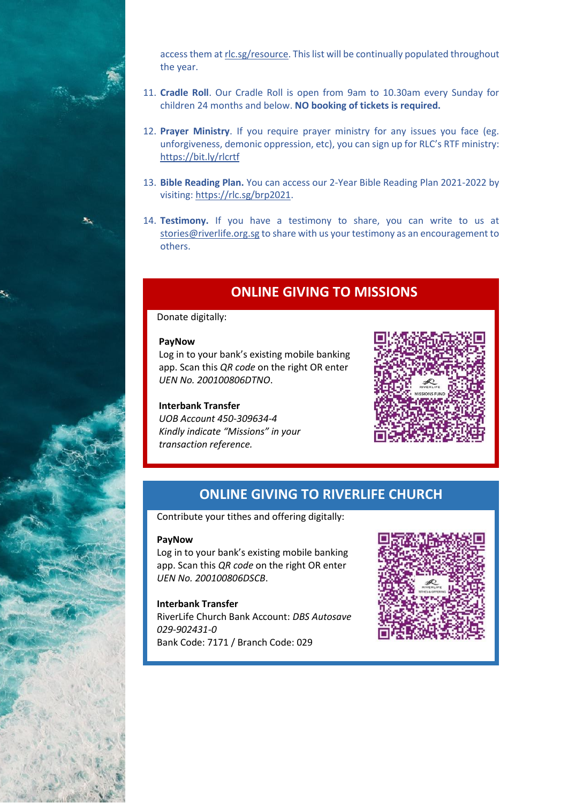

access them a[t rlc.sg/resource.](https://rlc.sg/resource) This list will be continually populated throughout the year.

- 11. **Cradle Roll**. Our Cradle Roll is open from 9am to 10.30am every Sunday for children 24 months and below. **NO booking of tickets is required.**
- 12. **Prayer Ministry**. If you require prayer ministry for any issues you face (eg. unforgiveness, demonic oppression, etc), you can sign up for RLC's RTF ministry: <https://bit.ly/rlcrtf>
- 13. **Bible Reading Plan.** You can access our 2-Year Bible Reading Plan 2021-2022 by visiting: [https://rlc.sg/brp2021.](https://rlc.sg/brp2021)
- 14. **Testimony.** If you have a testimony to share, you can write to us at [stories@riverlife.org.sg](mailto:stories@riverlife.org.sg) to share with us your testimony as an encouragement to others.

# **ONLINE GIVING TO MISSIONS**

## Donate digitally:

#### **PayNow**

Log in to your bank's existing mobile banking app. Scan this *QR code* on the right OR enter *UEN No. 200100806DTNO*.

## **Interbank Transfer**

*UOB Account 450-309634-4 Kindly indicate "Missions" in your transaction reference.*



## **ONLINE GIVING TO RIVERLIFE CHURCH**

Contribute your tithes and offering digitally:

#### **PayNow**

Log in to your bank's existing mobile banking app. Scan this *QR code* on the right OR enter *UEN No. 200100806DSCB*.

## **Interbank Transfer**

RiverLife Church Bank Account: *DBS Autosave 029-902431-0* Bank Code: 7171 / Branch Code: 029